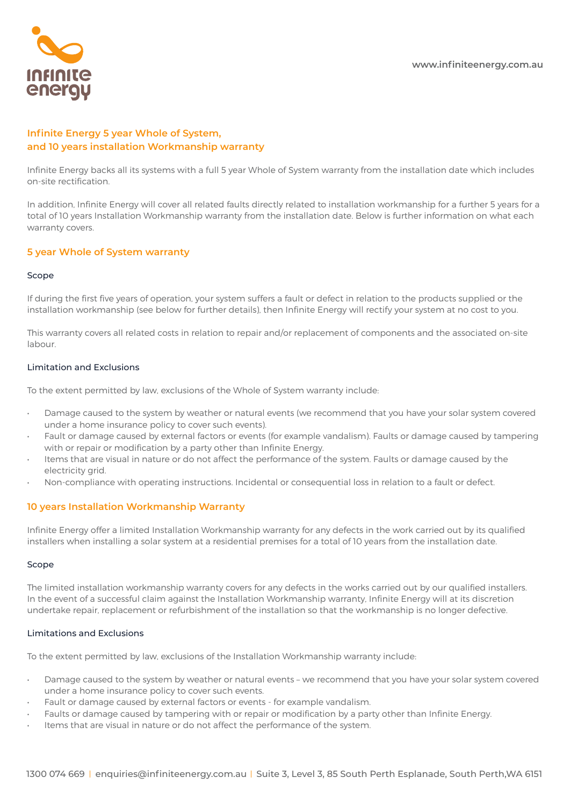

# **Infinite Energy 5 year Whole of System, and 10 years installation Workmanship warranty**

Infinite Energy backs all its systems with a full 5 year Whole of System warranty from the installation date which includes on-site rectification.

In addition, Infinite Energy will cover all related faults directly related to installation workmanship for a further 5 years for a total of 10 years Installation Workmanship warranty from the installation date. Below is further information on what each warranty covers.

# **5 year Whole of System warranty**

## Scope

If during the first five years of operation, your system suffers a fault or defect in relation to the products supplied or the installation workmanship (see below for further details), then Infinite Energy will rectify your system at no cost to you.

This warranty covers all related costs in relation to repair and/or replacement of components and the associated on-site labour.

## Limitation and Exclusions

To the extent permitted by law, exclusions of the Whole of System warranty include:

- Damage caused to the system by weather or natural events (we recommend that you have your solar system covered under a home insurance policy to cover such events).
- Fault or damage caused by external factors or events (for example vandalism). Faults or damage caused by tampering with or repair or modification by a party other than Infinite Energy.
- Items that are visual in nature or do not affect the performance of the system. Faults or damage caused by the electricity grid.
- Non-compliance with operating instructions. Incidental or consequential loss in relation to a fault or defect.

# **10 years Installation Workmanship Warranty**

Infinite Energy offer a limited Installation Workmanship warranty for any defects in the work carried out by its qualified installers when installing a solar system at a residential premises for a total of 10 years from the installation date.

## Scope

The limited installation workmanship warranty covers for any defects in the works carried out by our qualified installers. In the event of a successful claim against the Installation Workmanship warranty, Infinite Energy will at its discretion undertake repair, replacement or refurbishment of the installation so that the workmanship is no longer defective.

# Limitations and Exclusions

To the extent permitted by law, exclusions of the Installation Workmanship warranty include:

- Damage caused to the system by weather or natural events we recommend that you have your solar system covered under a home insurance policy to cover such events.
- Fault or damage caused by external factors or events for example vandalism.
- Faults or damage caused by tampering with or repair or modification by a party other than Infinite Energy.
- Items that are visual in nature or do not affect the performance of the system.